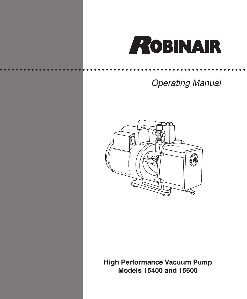

# *Operating Manual*



**High Performance Vacuum Pump Models 15400 and 15600**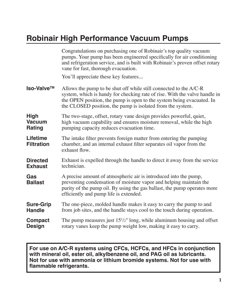## **Robinair High Performance Vacuum Pumps**

|                                        | Congratulations on purchasing one of Robinair's top quality vacuum<br>pumps. Your pump has been engineered specifically for air conditioning<br>and refrigeration service, and is built with Robinair's proven offset rotary<br>vane for fast, thorough evacuation.                    |
|----------------------------------------|----------------------------------------------------------------------------------------------------------------------------------------------------------------------------------------------------------------------------------------------------------------------------------------|
|                                        | You'll appreciate these key features                                                                                                                                                                                                                                                   |
| Iso-Valve™                             | Allows the pump to be shut off while still connected to the A/C-R<br>system, which is handy for checking rate of rise. With the valve handle in<br>the OPEN position, the pump is open to the system being evacuated. In<br>the CLOSED position, the pump is isolated from the system. |
| <b>High</b><br><b>Vacuum</b><br>Rating | The two-stage, offset, rotary vane design provides powerful, quiet,<br>high vacuum capability and ensures moisture removal, while the high<br>pumping capacity reduces evacuation time.                                                                                                |
| <b>Lifetime</b><br><b>Filtration</b>   | The intake filter prevents foreign matter from entering the pumping<br>chamber, and an internal exhaust filter separates oil vapor from the<br>exhaust flow.                                                                                                                           |
| <b>Directed</b><br><b>Exhaust</b>      | Exhaust is expelled through the handle to direct it away from the service<br>technician.                                                                                                                                                                                               |
| Gas<br><b>Ballast</b>                  | A precise amount of atmospheric air is introduced into the pump,<br>preventing condensation of moisture vapor and helping maintain the<br>purity of the pump oil. By using the gas ballast, the pump operates more<br>efficiently and pump life is extended.                           |
| <b>Sure-Grip</b><br><b>Handle</b>      | The one-piece, molded handle makes it easy to carry the pump to and<br>from job sites, and the handle stays cool to the touch during operation.                                                                                                                                        |
| Compact<br><b>Design</b>               | The pump measures just $15^{1/2}$ " long, while aluminum housing and offset<br>rotary vanes keep the pump weight low, making it easy to carry.                                                                                                                                         |

**For use on A/C-R systems using CFCs, HCFCs, and HFCs in conjunction with mineral oil, ester oil, alkylbenzene oil, and PAG oil as lubricants. Not for use with ammonia or lithium bromide systems. Not for use with flammable refrigerants.**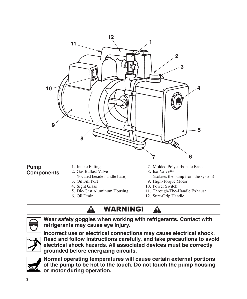

#### **Pump Components**

- 1. Intake Fitting
- 2. Gas Ballast Valve (located beside handle base)
- 3. Oil Fill Port
- 4. Sight Glass
- 5. Die-Cast Aluminum Housing
- 6. Oil Drain
- 7. Molded Polycarbonate Base
- 8. Iso-Valve<sup>™</sup>
- (isolates the pump from the system)
- 9. High-Torque Motor
- 10. Power Switch

Ţ

- 11. Through-The-Handle Exhaust
- 12. Sure-Grip Handle

### WARNING!



**Wear safety goggles when working with refrigerants. Contact with refrigerants may cause eye injury.**



**Incorrect use or electrical connections may cause electrical shock. Read and follow instructions carefully, and take precautions to avoid electrical shock hazards. All associated devices must be correctly grounded before energizing circuits.**



**Normal operating temperatures will cause certain external portions of the pump to be hot to the touch. Do not touch the pump housing or motor during operation.**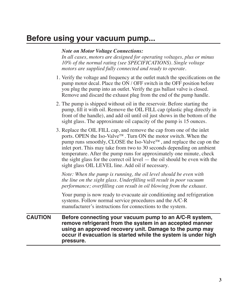### **Before using your vacuum pump...**

#### *Note on Motor Voltage Connections:*

*In all cases, motors are designed for operating voltages, plus or minus 10% of the normal rating (see SPECIFICATIONS). Single voltage motors are supplied fully connected and ready to operate.*

- 1. Verify the voltage and frequency at the outlet match the specifications on the pump motor decal. Place the ON / OFF switch in the OFF position before you plug the pump into an outlet. Verify the gas ballast valve is closed. Remove and discard the exhaust plug from the end of the pump handle.
- 2. The pump is shipped without oil in the reservoir. Before starting the pump, fill it with oil. Remove the OIL FILL cap (plastic plug directly in front of the handle), and add oil until oil just shows in the bottom of the sight glass. The approximate oil capacity of the pump is 15 ounces.
- 3. Replace the OIL FILL cap, and remove the cap from one of the inlet ports. OPEN the Iso-Valve™. Turn ON the motor switch. When the pump runs smoothly, CLOSE the Iso-Valve™, and replace the cap on the inlet port. This may take from two to 30 seconds depending on ambient temperature. After the pump runs for approximately one minute, check the sight glass for the correct oil level — the oil should be even with the sight glass OIL LEVEL line. Add oil if necessary.

*Note: When the pump is running, the oil level should be even with the line on the sight glass. Underfilling will result in poor vacuum performance; overfilling can result in oil blowing from the exhaust.*

Your pump is now ready to evacuate air conditioning and refrigeration systems. Follow normal service procedures and the A/C-R manufacturer's instructions for connections to the system.

**CAUTION Before connecting your vacuum pump to an A/C-R system, remove refrigerant from the system in an accepted manner using an approved recovery unit. Damage to the pump may occur if evacuation is started while the system is under high pressure.**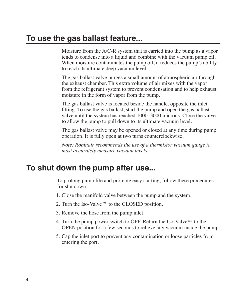Moisture from the A/C-R system that is carried into the pump as a vapor tends to condense into a liquid and combine with the vacuum pump oil. When moisture contaminates the pump oil, it reduces the pump's ability to reach its ultimate deep vacuum level.

The gas ballast valve purges a small amount of atmospheric air through the exhaust chamber. This extra volume of air mixes with the vapor from the refrigerant system to prevent condensation and to help exhaust moisture in the form of vapor from the pump.

The gas ballast valve is located beside the handle, opposite the inlet fitting. To use the gas ballast, start the pump and open the gas ballast valve until the system has reached 1000–3000 microns. Close the valve to allow the pump to pull down to its ultimate vacuum level.

The gas ballast valve may be opened or closed at any time during pump operation. It is fully open at two turns counterclockwise.

*Note: Robinair recommends the use of a thermistor vacuum gauge to most accurately measure vacuum levels.*

### **To shut down the pump after use...**

To prolong pump life and promote easy starting, follow these procedures for shutdown:

- 1. Close the manifold valve between the pump and the system.
- 2. Turn the Iso-Valve™ to the CLOSED position.
- 3. Remove the hose from the pump inlet.
- 4. Turn the pump power switch to OFF. Return the Iso-Valve™ to the OPEN position for a few seconds to relieve any vacuum inside the pump.
- 5. Cap the inlet port to prevent any contamination or loose particles from entering the port.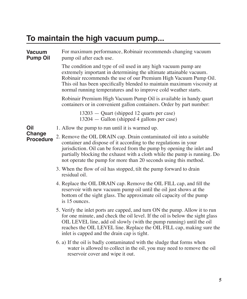### **To maintain the high vacuum pump...**

For maximum performance, Robinair recommends changing vacuum pump oil after each use. **Vacuum Pump Oil**

> The condition and type of oil used in any high vacuum pump are extremely important in determining the ultimate attainable vacuum. Robinair recommends the use of our Premium High Vacuum Pump Oil. This oil has been specifically blended to maintain maximum viscosity at normal running temperatures and to improve cold weather starts.

Robinair Premium High Vacuum Pump Oil is available in handy quart containers or in convenient gallon containers. Order by part number:

> 13203 — Quart (shipped 12 quarts per case) 13204 — Gallon (shipped 4 gallons per case)

1. Allow the pump to run until it is warmed up. **Oil** 

**Change** 

- 2. Remove the OIL DRAIN cap. Drain contaminated oil into a suitable container and dispose of it according to the regulations in your jurisdiction. Oil can be forced from the pump by opening the inlet and partially blocking the exhaust with a cloth while the pump is running. Do not operate the pump for more than 20 seconds using this method. **Procedure**
	- 3. When the flow of oil has stopped, tilt the pump forward to drain residual oil.
	- 4. Replace the OIL DRAIN cap. Remove the OIL FILL cap, and fill the reservoir with new vacuum pump oil until the oil just shows at the bottom of the sight glass. The approximate oil capacity of the pump is 15 ounces.
	- 5. Verify the inlet ports are capped, and turn ON the pump. Allow it to run for one minute, and check the oil level. If the oil is below the sight glass OIL LEVEL line, add oil slowly (with the pump running) until the oil reaches the OIL LEVEL line. Replace the OIL FILL cap, making sure the inlet is capped and the drain cap is tight.
	- 6. a) If the oil is badly contaminated with the sludge that forms when water is allowed to collect in the oil, you may need to remove the oil reservoir cover and wipe it out.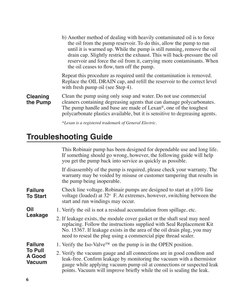|                             | b) Another method of dealing with heavily contaminated oil is to force<br>the oil from the pump reservoir. To do this, allow the pump to run<br>until it is warmed up. While the pump is still running, remove the oil<br>drain cap. Slightly restrict the exhaust. This will back-pressure the oil<br>reservoir and force the oil from it, carrying more contaminants. When<br>the oil ceases to flow, turn off the pump. |
|-----------------------------|----------------------------------------------------------------------------------------------------------------------------------------------------------------------------------------------------------------------------------------------------------------------------------------------------------------------------------------------------------------------------------------------------------------------------|
|                             | Repeat this procedure as required until the contamination is removed.<br>Replace the OIL DRAIN cap, and refill the reservoir to the correct level<br>with fresh pump oil (see Step 4).                                                                                                                                                                                                                                     |
| <b>Cleaning</b><br>the Pump | Clean the pump using only soap and water. Do not use commercial<br>cleaners containing degreasing agents that can damage polycarbonates.<br>The pump handle and base are made of $Lexan®$ , one of the toughest<br>polycarbonate plastics available, but it is sensitive to degreasing agents.                                                                                                                             |
|                             | *Lexan is a registered trademark of General Electric.                                                                                                                                                                                                                                                                                                                                                                      |

# **Troubleshooting Guide**

|                                                                    | This Robinair pump has been designed for dependable use and long life.<br>If something should go wrong, however, the following guide will help<br>you get the pump back into service as quickly as possible.                                                                                        |
|--------------------------------------------------------------------|-----------------------------------------------------------------------------------------------------------------------------------------------------------------------------------------------------------------------------------------------------------------------------------------------------|
|                                                                    | If disassembly of the pump is required, please check your warranty. The<br>warranty may be voided by misuse or customer tampering that results in<br>the pump being inoperable.                                                                                                                     |
| <b>Failure</b><br><b>To Start</b>                                  | Check line voltage. Robinair pumps are designed to start at $\pm 10\%$ line<br>voltage (loaded) at 32° F. At extremes, however, switching between the<br>start and run windings may occur.                                                                                                          |
| Oil<br>Leakage                                                     | 1. Verify the oil is not a residual accumulation from spillage, etc.                                                                                                                                                                                                                                |
|                                                                    | 2. If leakage exists, the module cover gasket or the shaft seal may need<br>replacing. Follow the instructions supplied with Seal Replacement Kit<br>No. 15367. If leakage exists in the area of the oil drain plug, you may<br>need to reseal the plug using a commercial pipe thread sealer.      |
| <b>Failure</b><br><b>To Pull</b><br><b>A</b> Good<br><b>Vacuum</b> | 1. Verify the Iso-Valve <sup>TM</sup> on the pump is in the OPEN position.                                                                                                                                                                                                                          |
|                                                                    | 2. Verify the vacuum gauge and all connections are in good conditon and<br>leak-free. Confirm leakage by monitoring the vacuum with a thermistor<br>gauge while applying vacuum pump oil at connections or suspected leak<br>points. Vacuum will improve briefly while the oil is sealing the leak. |
|                                                                    |                                                                                                                                                                                                                                                                                                     |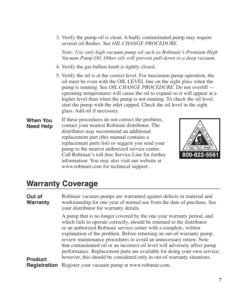3. Verify the pump oil is clean. A badly contaminated pump may require several oil flushes. See *OIL CHANGE PROCEDURE*.

*Note: Use only high vacuum pump oil such as Robinair's Premium High Vacuum Pump Oil. Other oils will prevent pull-down to a deep vacuum.*

- 4. Verify the gas ballast knob is tightly closed.
- 5. Verify the oil is at the correct level. For maximum pump operation, the oil must be even with the OIL LEVEL line on the sight glass when the pump is running. See *OIL CHANGE PROCEDURE*. Do not overfill operating temperatures will cause the oil to expand so it will appear at a higher level than when the pump is not running. To check the oil level, start the pump with the inlet capped. Check the oil level in the sight glass. Add oil if necessary.

If these procedures do not correct the problem, contact your nearest Robinair distributor. The distributor may recommend an additional replacement part (this manual contains a replacement parts list) or suggest you send your pump to the nearest authorized service center. Call Robinair's toll-free Service Line for further information: You may also visit our website at www.robinair.com for technical support. **When You Need Help**



#### **Warranty Coverage**

Robinair vacuum pumps are warranted against defects in material and workmanship for one year of normal use from the date of purchase. See your distributor for warranty details. A pump that is no longer covered by the one-year warranty period, and which fails to operate correctly, should be returned to the distributor or an authorized Robinair service center with a complete, written explanation of the problem. Before returning an out-of-warranty pump, review maintenance procedures to avoid an unnecessary return. Note that contaminated oil or an incorrect oil level will adversely affect pump performance. Replacement parts are available for doing your own service; however, this should be considered only in out-of-warranty situations. **Registration** Register your vacuum pump at www.robinair.com. **Out of Warranty Product**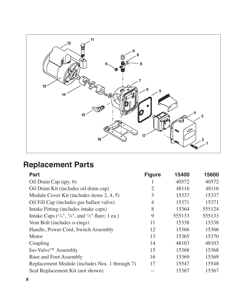

# **Replacement Parts**

| <b>Part</b>                                         | <b>Figure</b> | 15400  | 15600  |
|-----------------------------------------------------|---------------|--------|--------|
| Oil Drain Cap (qty. 6)                              |               | 40572  | 40572  |
| Oil Drain Kit (includes oil drain cap)              | 2             | 48116  | 48116  |
| Module Cover Kit (includes items 2, 4, 5)           | 3             | 15337  | 15337  |
| Oil Fill Cap (includes gas ballast valve)           | 4             | 15371  | 15371  |
| Intake Fitting (includes intake caps)               | 8             | 15364  | 555124 |
| Intake Caps $(1/4", 3/8",$ and $1/2"$ flare; 1 ea.) | 9             | 555133 | 555133 |
| Vent Bolt (includes o-rings)                        | 11            | 15338  | 15338  |
| Handle, Power Cord, Switch Assembly                 | 12            | 15366  | 15366  |
| Motor                                               | 13            | 15365  | 15370  |
| Coupling                                            | 14            | 48103  | 48103  |
| Iso-Valve™ Assembly                                 | 15            | 15368  | 15368  |
| Base and Foot Assembly                              | 16            | 15369  | 15369  |
| Replacement Module (includes Nos. 1 through 7)      | 17            | 15547  | 15548  |
| Seal Replacement Kit (not shown)                    |               | 15367  | 15367  |